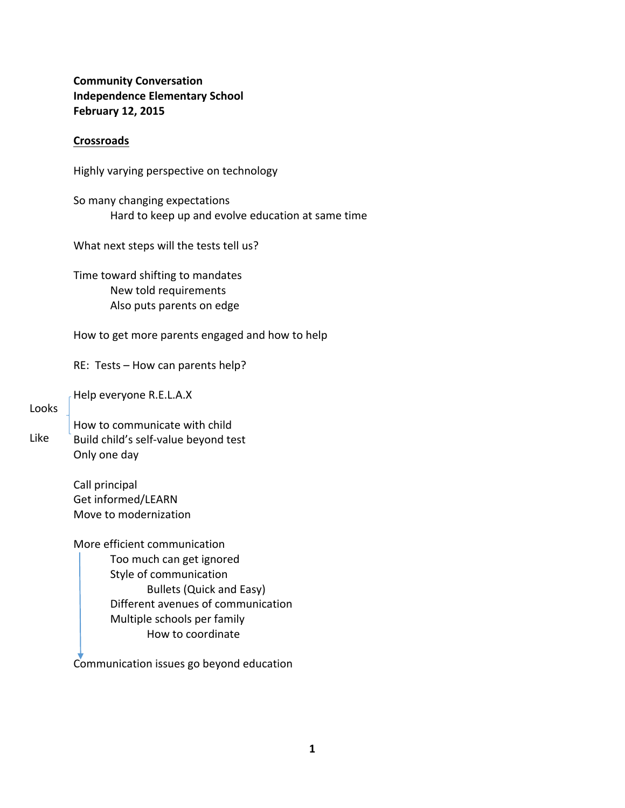**Community Conversation Independence Elementary School February 12, 2015**

# **Crossroads**

Highly varying perspective on technology

So many changing expectations Hard to keep up and evolve education at same time

What next steps will the tests tell us?

Time toward shifting to mandates New told requirements Also puts parents on edge

How to get more parents engaged and how to help

RE: Tests – How can parents help?

Help everyone R.E.L.A.X

## Looks

Like

How to communicate with child Build child's self‐value beyond test Only one day

Call principal Get informed/LEARN Move to modernization

More efficient communication Too much can get ignored Style of communication Bullets (Quick and Easy) Different avenues of communication Multiple schools per family How to coordinate

Communication issues go beyond education